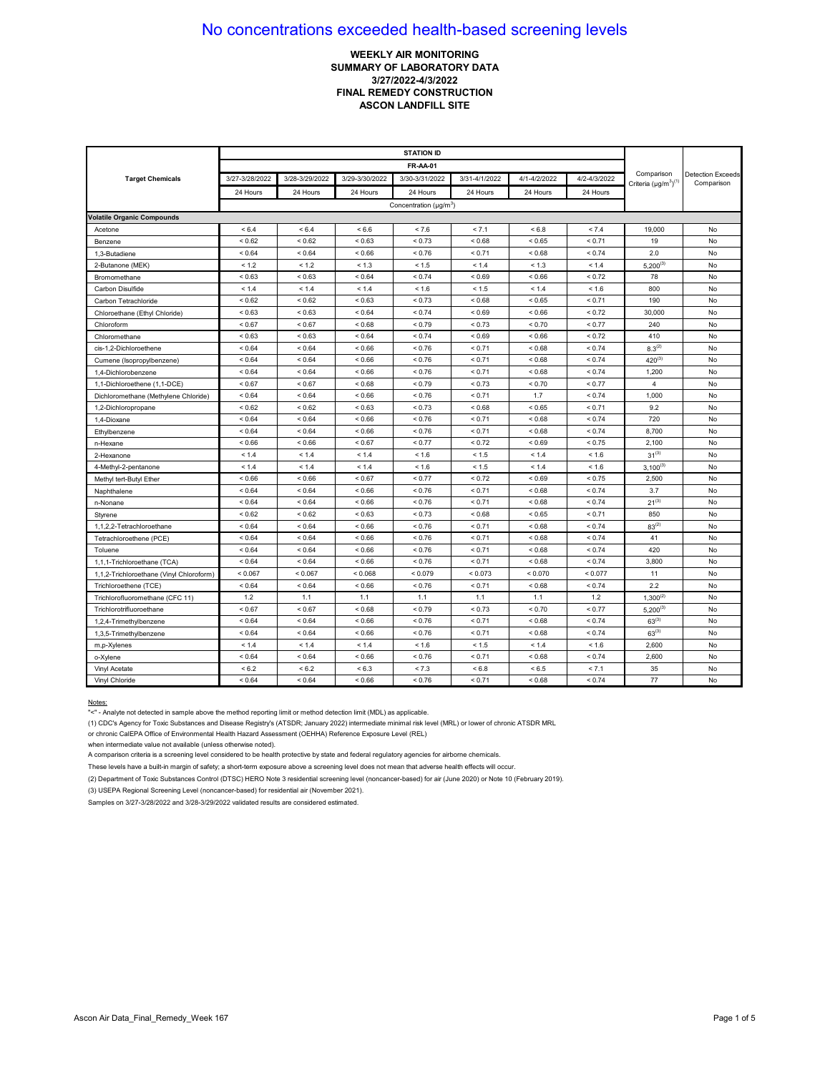## **WEEKLY AIR MONITORING SUMMARY OF LABORATORY DATA 3/27/2022-4/3/2022 FINAL REMEDY CONSTRUCTION ASCON LANDFILL SITE**

|                                          | <b>STATION ID</b> |                |                |                                    |               |               |              |                                            |                                        |
|------------------------------------------|-------------------|----------------|----------------|------------------------------------|---------------|---------------|--------------|--------------------------------------------|----------------------------------------|
|                                          |                   |                |                | <b>FR-AA-01</b>                    |               |               |              |                                            |                                        |
| <b>Target Chemicals</b>                  | 3/27-3/28/2022    | 3/28-3/29/2022 | 3/29-3/30/2022 | 3/30-3/31/2022                     | 3/31-4/1/2022 | 4/1-4/2/2022  | 4/2-4/3/2022 | Comparison<br>Criteria $(\mu g/m^3)^{(1)}$ | <b>Detection Exceeds</b><br>Comparison |
|                                          | 24 Hours          | 24 Hours       | 24 Hours       | 24 Hours                           | 24 Hours      | 24 Hours      | 24 Hours     |                                            |                                        |
|                                          |                   |                |                | Concentration (µg/m <sup>3</sup> ) |               |               |              |                                            |                                        |
| <b>Volatile Organic Compounds</b>        |                   |                |                |                                    |               |               |              |                                            |                                        |
| Acetone                                  | < 6.4             | < 6.4          | < 6.6          | < 7.6                              | < 7.1         | < 6.8         | < 7.4        | 19,000                                     | No                                     |
| Benzene                                  | ${}_{0.62}$       | < 0.62         | ${}_{0.63}$    | < 0.73                             | < 0.68        | < 0.65        | < 0.71       | 19                                         | No                                     |
| 1,3-Butadiene                            | ${}_{0.64}$       | < 0.64         | ${}_{0.66}$    | < 0.76                             | < 0.71        | ${}_{0.68}$   | < 0.74       | 2.0                                        | No                                     |
| 2-Butanone (MEK)                         | < 1.2             | < 1.2          | < 1.3          | < 1.5                              | < 1.4         | < 1.3         | < 1.4        | $5,200^{(3)}$                              | No                                     |
| Bromomethane                             | < 0.63            | ${}_{0.63}$    | ${}_{0.64}$    | < 0.74                             | < 0.69        | ${}^{8}$ 0.66 | < 0.72       | 78                                         | No                                     |
| Carbon Disulfide                         | < 1.4             | < 1.4          | < 1.4          | < 1.6                              | < 1.5         | < 1.4         | < 1.6        | 800                                        | No                                     |
| Carbon Tetrachloride                     | ${}< 0.62$        | ${}< 0.62$     | < 0.63         | < 0.73                             | < 0.68        | < 0.65        | < 0.71       | 190                                        | No                                     |
| Chloroethane (Ethyl Chloride)            | ${}_{0.63}$       | ${}_{0.63}$    | ${}_{0.64}$    | < 0.74                             | ${}_{0.69}$   | ${}_{0.66}$   | < 0.72       | 30,000                                     | No                                     |
| Chloroform                               | ${}_{0.67}$       | ${}_{0.67}$    | ${}_{<0.68}$   | < 0.79                             | < 0.73        | ${}_{0.70}$   | < 0.77       | 240                                        | No                                     |
| Chloromethane                            | ${}_{0.63}$       | ${}_{0.63}$    | ${}_{0.64}$    | < 0.74                             | ${}_{0.69}$   | ${}_{0.66}$   | ${}_{0.72}$  | 410                                        | No                                     |
| cis-1.2-Dichloroethene                   | ${}_{0.64}$       | < 0.64         | ${}_{<0.66}$   | < 0.76                             | < 0.71        | < 0.68        | < 0.74       | $8.3^{(2)}$                                | No                                     |
| Cumene (Isopropylbenzene)                | ${}_{0.64}$       | < 0.64         | ${}_{<0.66}$   | < 0.76                             | < 0.71        | < 0.68        | < 0.74       | $420^{(3)}$                                | No                                     |
| 1,4-Dichlorobenzene                      | ${}_{0.64}$       | ${}_{0.64}$    | ${}_{0.66}$    | < 0.76                             | < 0.71        | ${}_{0.68}$   | < 0.74       | 1,200                                      | No                                     |
| 1,1-Dichloroethene (1,1-DCE)             | ${}_{0.67}$       | ${}_{0.67}$    | ${}_{0.68}$    | < 0.79                             | < 0.73        | ${}_{0.70}$   | < 0.77       | $\overline{4}$                             | No                                     |
| Dichloromethane (Methylene Chloride)     | ${}_{0.64}$       | ${}_{0.64}$    | ${}_{0.66}$    | < 0.76                             | < 0.71        | 1.7           | < 0.74       | 1,000                                      | No                                     |
| 1,2-Dichloropropane                      | < 0.62            | ${}_{0.62}$    | < 0.63         | < 0.73                             | < 0.68        | < 0.65        | < 0.71       | 9.2                                        | No                                     |
| 1,4-Dioxane                              | ${}_{0.64}$       | ${}_{0.64}$    | ${}_{0.66}$    | < 0.76                             | < 0.71        | ${}_{0.68}$   | < 0.74       | 720                                        | No                                     |
| Ethylbenzene                             | ${}_{0.64}$       | < 0.64         | ${}_{0.66}$    | < 0.76                             | < 0.71        | ${}_{0.68}$   | < 0.74       | 8,700                                      | No                                     |
| n-Hexane                                 | ${}_{0.66}$       | ${}_{<0.66}$   | ${}< 0.67$     | < 0.77                             | < 0.72        | ${}_{<0.69}$  | < 0.75       | 2,100                                      | No                                     |
| 2-Hexanone                               | < 1.4             | < 1.4          | < 1.4          | < 1.6                              | < 1.5         | < 1.4         | < 1.6        | $31^{(3)}$                                 | No                                     |
| 4-Methyl-2-pentanone                     | < 1.4             | < 1.4          | < 1.4          | < 1.6                              | < 1.5         | < 1.4         | < 1.6        | $3,100^{(3)}$                              | No                                     |
| Methyl tert-Butyl Ether                  | < 0.66            | < 0.66         | < 0.67         | < 0.77                             | < 0.72        | < 0.69        | < 0.75       | 2,500                                      | No                                     |
| Naphthalene                              | ${}_{0.64}$       | < 0.64         | ${}_{<0.66}$   | < 0.76                             | < 0.71        | ${}_{<0.68}$  | < 0.74       | 3.7                                        | No                                     |
| n-Nonane                                 | ${}_{0.64}$       | ${}_{0.64}$    | 0.66           | < 0.76                             | < 0.71        | 0.68          | < 0.74       | $21^{(3)}$                                 | No                                     |
| Styrene                                  | ${}< 0.62$        | < 0.62         | < 0.63         | < 0.73                             | < 0.68        | < 0.65        | < 0.71       | 850                                        | No                                     |
| 1,1,2,2-Tetrachloroethane                | ${}_{0.64}$       | < 0.64         | ${}_{0.66}$    | < 0.76                             | < 0.71        | ${}_{0.68}$   | < 0.74       | $83^{(2)}$                                 | No                                     |
| Tetrachloroethene (PCE)                  | ${}_{0.64}$       | < 0.64         | ${}_{0.66}$    | < 0.76                             | < 0.71        | < 0.68        | < 0.74       | 41                                         | No                                     |
| Toluene                                  | ${}_{0.64}$       | ${}_{0.64}$    | ${}_{0.66}$    | < 0.76                             | < 0.71        | < 0.68        | < 0.74       | 420                                        | No                                     |
| 1,1,1-Trichloroethane (TCA)              | ${}< 0.64$        | < 0.64         | ${}< 0.66$     | < 0.76                             | < 0.71        | 0.68          | ${}_{0.74}$  | 3.800                                      | No                                     |
| 1,1,2-Trichloroethane (Vinyl Chloroform) | < 0.067           | < 0.067        | < 0.068        | < 0.079                            | < 0.073       | < 0.070       | < 0.077      | 11                                         | No                                     |
| Trichloroethene (TCE)                    | ${}_{0.64}$       | < 0.64         | ${}_{0.66}$    | < 0.76                             | < 0.71        | < 0.68        | < 0.74       | 2.2                                        | No                                     |
| Trichlorofluoromethane (CFC 11)          | 1.2               | 1.1            | 1.1            | 1.1                                | 1.1           | 1.1           | 1.2          | $1,300^{(2)}$                              | No                                     |
| Trichlorotrifluoroethane                 | < 0.67            | ${}_{0.67}$    | ${}_{0.68}$    | < 0.79                             | < 0.73        | ${}_{0.70}$   | < 0.77       | $5.200^{(3)}$                              | No                                     |
| 1,2,4-Trimethylbenzene                   | ${}_{0.64}$       | < 0.64         | ${}_{0.66}$    | < 0.76                             | < 0.71        | ${}_{0.68}$   | < 0.74       | $63^{(3)}$                                 | No                                     |
| 1,3,5-Trimethylbenzene                   | ${}_{0.64}$       | < 0.64         | ${}_{<0.66}$   | < 0.76                             | < 0.71        | ${}_{<0.68}$  | < 0.74       | $63^{(3)}$                                 | No                                     |
| m,p-Xylenes                              | < 1.4             | < 1.4          | < 1.4          | < 1.6                              | < 1.5         | < 1.4         | < 1.6        | 2,600                                      | No                                     |
| o-Xylene                                 | ${}_{0.64}$       | ${}_{0.64}$    | ${}_{0.66}$    | < 0.76                             | < 0.71        | ${}_{0.68}$   | < 0.74       | 2.600                                      | No                                     |
| Vinyl Acetate                            | < 6.2             | < 6.2          | < 6.3          | < 7.3                              | < 6.8         | < 6.5         | < 7.1        | 35                                         | No                                     |
| Vinyl Chloride                           | < 0.64            | < 0.64         | < 0.66         | < 0.76                             | < 0.71        | < 0.68        | < 0.74       | 77                                         | No                                     |

#### Notes:

"<" - Analyte not detected in sample above the method reporting limit or method detection limit (MDL) as applicable.

(1) CDC's Agency for Toxic Substances and Disease Registry's (ATSDR; January 2022) intermediate minimal risk level (MRL) or lower of chronic ATSDR MRL

or chronic CalEPA Office of Environmental Health Hazard Assessment (OEHHA) Reference Exposure Level (REL)

when intermediate value not available (unless otherwise noted).

A comparison criteria is a screening level considered to be health protective by state and federal regulatory agencies for airborne chemicals.

These levels have a built-in margin of safety; a short-term exposure above a screening level does not mean that adverse health effects will occur.

(2) Department of Toxic Substances Control (DTSC) HERO Note 3 residential screening level (noncancer-based) for air (June 2020) or Note 10 (February 2019).

(3) USEPA Regional Screening Level (noncancer-based) for residential air (November 2021).

Samples on 3/27-3/28/2022 and 3/28-3/29/2022 validated results are considered estimated.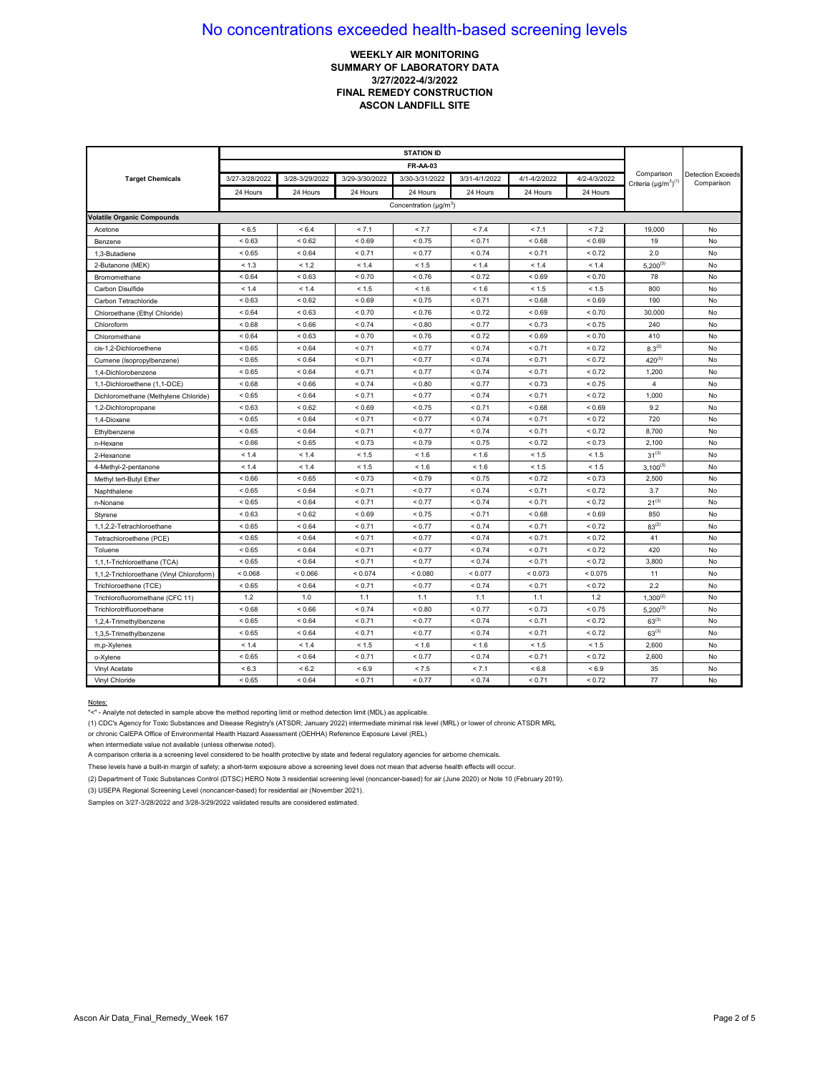## **WEEKLY AIR MONITORING SUMMARY OF LABORATORY DATA 3/27/2022-4/3/2022 FINAL REMEDY CONSTRUCTION ASCON LANDFILL SITE**

| <b>Target Chemicals</b>                  | 3/27-3/28/2022 | 3/28-3/29/2022 | 3/29-3/30/2022 | 3/30-3/31/2022                           | 3/31-4/1/2022 | 4/1-4/2/2022 | 4/2-4/3/2022 | Comparison                   | <b>Detection Exceeds</b><br>Comparison |
|------------------------------------------|----------------|----------------|----------------|------------------------------------------|---------------|--------------|--------------|------------------------------|----------------------------------------|
|                                          | 24 Hours       | 24 Hours       | 24 Hours       | 24 Hours                                 | 24 Hours      | 24 Hours     | 24 Hours     | Criteria $(\mu g/m^3)^{(1)}$ |                                        |
|                                          |                |                |                | Concentration ( $\mu$ g/m <sup>3</sup> ) |               |              |              |                              |                                        |
| <b>Volatile Organic Compounds</b>        |                |                |                |                                          |               |              |              |                              |                                        |
| Acetone                                  | < 6.5          | < 6.4          | < 7.1          | < 7.7                                    | < 7.4         | < 7.1        | < 7.2        | 19,000                       | No                                     |
| Benzene                                  | ${}_{0.63}$    | ${}< 0.62$     | ${}_{0.69}$    | < 0.75                                   | < 0.71        | < 0.68       | ${}_{<0.69}$ | 19                           | No                                     |
| 1,3-Butadiene                            | < 0.65         | ${}_{0.64}$    | < 0.71         | < 0.77                                   | < 0.74        | < 0.71       | < 0.72       | 2.0                          | No                                     |
| 2-Butanone (MEK)                         | < 1.3          | < 1.2          | < 1.4          | < 1.5                                    | < 1.4         | < 1.4        | < 1.4        | $5,200^{(3)}$                | No                                     |
| Bromomethane                             | ${}_{0.64}$    | ${}_{0.63}$    | < 0.70         | < 0.76                                   | < 0.72        | ${}_{0.69}$  | < 0.70       | 78                           | No                                     |
| Carbon Disulfide                         | < 1.4          | < 1.4          | < 1.5          | < 1.6                                    | < 1.6         | < 1.5        | < 1.5        | 800                          | No                                     |
| Carbon Tetrachloride                     | ${}_{0.63}$    | ${}_{0.62}$    | ${}_{0.69}$    | < 0.75                                   | < 0.71        | < 0.68       | ${}_{0.69}$  | 190                          | No                                     |
| Chloroethane (Ethyl Chloride)            | ${}_{0.64}$    | ${}_{0.63}$    | < 0.70         | < 0.76                                   | < 0.72        | < 0.69       | < 0.70       | 30,000                       | No                                     |
| Chloroform                               | ${}_{0.68}$    | ${}_{0.66}$    | < 0.74         | ${}_{0.80}$                              | < 0.77        | < 0.73       | ${}_{0.75}$  | 240                          | No                                     |
| Chloromethane                            | ${}_{0.64}$    | ${}_{0.63}$    | < 0.70         | < 0.76                                   | < 0.72        | < 0.69       | < 0.70       | 410                          | No                                     |
| cis-1,2-Dichloroethene                   | < 0.65         | ${}_{0.64}$    | < 0.71         | < 0.77                                   | ${}_{0.74}$   | < 0.71       | < 0.72       | $8.3^{(2)}$                  | No                                     |
| Cumene (Isopropylbenzene)                | ${}_{<0.65}$   | ${}_{0.64}$    | < 0.71         | < 0.77                                   | < 0.74        | < 0.71       | ${}_{0.72}$  | $420^{(3)}$                  | No                                     |
| 1.4-Dichlorobenzene                      | < 0.65         | < 0.64         | < 0.71         | < 0.77                                   | < 0.74        | < 0.71       | < 0.72       | 1,200                        | No                                     |
| 1,1-Dichloroethene (1,1-DCE)             | < 0.68         | ${}_{0.66}$    | < 0.74         | ${}_{0.80}$                              | < 0.77        | < 0.73       | < 0.75       | $\overline{4}$               | No                                     |
| Dichloromethane (Methylene Chloride)     | ${}_{<0.65}$   | ${}_{0.64}$    | < 0.71         | < 0.77                                   | ${}_{0.74}$   | < 0.71       | < 0.72       | 1,000                        | No                                     |
| 1,2-Dichloropropane                      | ${}_{0.63}$    | ${}_{0.62}$    | ${}_{0.69}$    | < 0.75                                   | < 0.71        | ${}_{0.68}$  | ${}_{0.69}$  | 9.2                          | No                                     |
| 1,4-Dioxane                              | ${}< 0.65$     | ${}_{0.64}$    | < 0.71         | < 0.77                                   | ${}_{0.74}$   | < 0.71       | ${}_{0.72}$  | 720                          | No                                     |
| Ethylbenzene                             | < 0.65         | ${}_{0.64}$    | < 0.71         | < 0.77                                   | < 0.74        | < 0.71       | < 0.72       | 8.700                        | No                                     |
| n-Hexane                                 | < 0.66         | < 0.65         | < 0.73         | < 0.79                                   | < 0.75        | < 0.72       | < 0.73       | 2,100                        | No                                     |
| 2-Hexanone                               | < 1.4          | < 1.4          | < 1.5          | < 1.6                                    | < 1.6         | < 1.5        | < 1.5        | $31^{(3)}$                   | No                                     |
| 4-Methyl-2-pentanone                     | < 1.4          | < 1.4          | < 1.5          | < 1.6                                    | < 1.6         | < 1.5        | < 1.5        | $3,100^{(3)}$                | No                                     |
| Methyl tert-Butyl Ether                  | < 0.66         | ${}_{<0.65}$   | ${}_{0.73}$    | < 0.79                                   | ${}_{0.75}$   | < 0.72       | ${}_{0.73}$  | 2,500                        | No                                     |
| Naphthalene                              | ${}_{0.65}$    | ${}_{0.64}$    | < 0.71         | < 0.77                                   | < 0.74        | < 0.71       | ${}_{0.72}$  | 3.7                          | No                                     |
| n-Nonane                                 | < 0.65         | < 0.64         | < 0.71         | < 0.77                                   | < 0.74        | < 0.71       | < 0.72       | $21^{(3)}$                   | No                                     |
| Styrene                                  | < 0.63         | ${}< 0.62$     | < 0.69         | < 0.75                                   | < 0.71        | < 0.68       | ${}_{0.69}$  | 850                          | No                                     |
| 1,1,2,2-Tetrachloroethane                | ${}_{<0.65}$   | ${}_{0.64}$    | < 0.71         | < 0.77                                   | ${}_{0.74}$   | < 0.71       | < 0.72       | $83^{(2)}$                   | No                                     |
| Tetrachloroethene (PCE)                  | ${}< 0.65$     | ${}_{0.64}$    | < 0.71         | < 0.77                                   | < 0.74        | < 0.71       | < 0.72       | 41                           | No                                     |
| Toluene                                  | ${}_{<0.65}$   | ${}_{0.64}$    | < 0.71         | < 0.77                                   | < 0.74        | < 0.71       | ${}_{0.72}$  | 420                          | No                                     |
| 1,1,1-Trichloroethane (TCA)              | ${}< 0.65$     | ${}_{0.64}$    | < 0.71         | < 0.77                                   | < 0.74        | < 0.71       | < 0.72       | 3,800                        | No                                     |
| 1,1,2-Trichloroethane (Vinyl Chloroform) | < 0.068        | < 0.066        | < 0.074        | < 0.080                                  | < 0.077       | < 0.073      | < 0.075      | 11                           | No                                     |
| Trichloroethene (TCE)                    | < 0.65         | ${}_{0.64}$    | < 0.71         | < 0.77                                   | ${}_{0.74}$   | < 0.71       | ${}_{5.72}$  | 2.2                          | No                                     |
| Trichlorofluoromethane (CFC 11)          | 1.2            | 1.0            | 1.1            | 1.1                                      | 1.1           | 1.1          | 1.2          | $1,300^{(2)}$                | No                                     |
| Trichlorotrifluoroethane                 | ${}_{0.68}$    | ${}_{0.66}$    | < 0.74         | ${}_{0.80}$                              | < 0.77        | < 0.73       | ${}_{0.75}$  | $5,200^{(3)}$                | No                                     |
| 1.2.4-Trimethylbenzene                   | ${}_{<0.65}$   | ${}_{0.64}$    | < 0.71         | < 0.77                                   | ${}_{0.74}$   | < 0.71       | ${}_{0.72}$  | $63^{(3)}$                   | No                                     |
| 1,3,5-Trimethylbenzene                   | < 0.65         | < 0.64         | < 0.71         | < 0.77                                   | < 0.74        | < 0.71       | < 0.72       | $63^{(3)}$                   | No                                     |
| m,p-Xylenes                              | < 1.4          | < 1.4          | < 1.5          | < 1.6                                    | < 1.6         | < 1.5        | < 1.5        | 2,600                        | No                                     |
| o-Xylene                                 | ${}_{<0.65}$   | ${}_{0.64}$    | < 0.71         | < 0.77                                   | ${}_{0.74}$   | < 0.71       | < 0.72       | 2,600                        | No                                     |
| Vinyl Acetate                            | ${}< 6.3$      | ${}< 6.2$      | ${}_{5.9}$     | < 7.5                                    | < 7.1         | < 6.8        | < 6.9        | 35                           | No                                     |
| Vinyl Chloride                           | ${}_{<0.65}$   | ${}_{0.64}$    | < 0.71         | < 0.77                                   | ${}_{0.74}$   | < 0.71       | ${}_{0.72}$  | 77                           | No                                     |

#### Notes:

"<" - Analyte not detected in sample above the method reporting limit or method detection limit (MDL) as applicable.

(1) CDC's Agency for Toxic Substances and Disease Registry's (ATSDR; January 2022) intermediate minimal risk level (MRL) or lower of chronic ATSDR MRL

or chronic CalEPA Office of Environmental Health Hazard Assessment (OEHHA) Reference Exposure Level (REL)

when intermediate value not available (unless otherwise noted).

A comparison criteria is a screening level considered to be health protective by state and federal regulatory agencies for airborne chemicals.

These levels have a built-in margin of safety; a short-term exposure above a screening level does not mean that adverse health effects will occur.

(2) Department of Toxic Substances Control (DTSC) HERO Note 3 residential screening level (noncancer-based) for air (June 2020) or Note 10 (February 2019).

(3) USEPA Regional Screening Level (noncancer-based) for residential air (November 2021).

Samples on 3/27-3/28/2022 and 3/28-3/29/2022 validated results are considered estimated.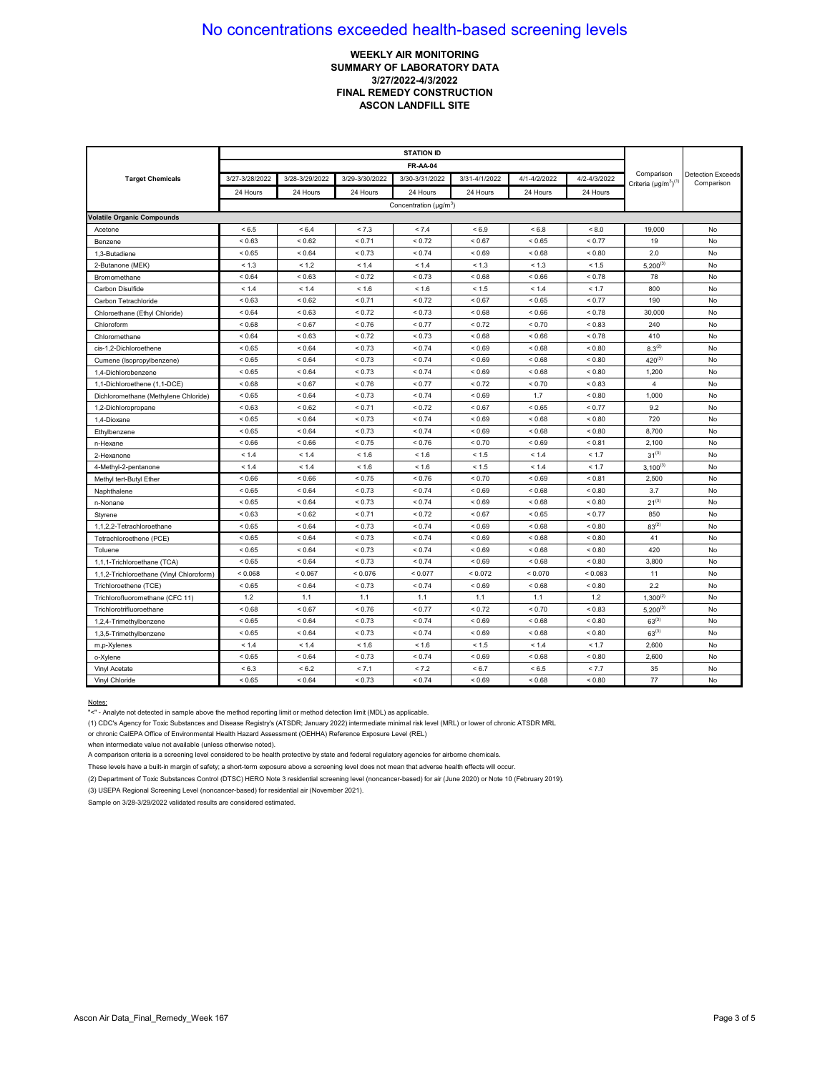## **WEEKLY AIR MONITORING SUMMARY OF LABORATORY DATA 3/27/2022-4/3/2022 FINAL REMEDY CONSTRUCTION ASCON LANDFILL SITE**

| <b>Target Chemicals</b>                  | 3/27-3/28/2022 | 3/28-3/29/2022 | 3/29-3/30/2022 | 3/30-3/31/2022                     | 3/31-4/1/2022 | 4/1-4/2/2022 | 4/2-4/3/2022  | Comparison<br>Criteria $(\mu g/m^3)^{(1)}$ | <b>Detection Exceeds</b><br>Comparison |
|------------------------------------------|----------------|----------------|----------------|------------------------------------|---------------|--------------|---------------|--------------------------------------------|----------------------------------------|
|                                          | 24 Hours       | 24 Hours       | 24 Hours       | 24 Hours                           | 24 Hours      | 24 Hours     | 24 Hours      |                                            |                                        |
|                                          |                |                |                | Concentration (µg/m <sup>3</sup> ) |               |              |               |                                            |                                        |
| <b>Volatile Organic Compounds</b>        |                |                |                |                                    |               |              |               |                                            |                                        |
| Acetone                                  | < 6.5          | ${}< 6.4$      | < 7.3          | < 7.4                              | ${}< 6.9$     | < 6.8        | < 8.0         | 19,000                                     | No                                     |
| Benzene                                  | ${}_{0.63}$    | ${}_{0.62}$    | < 0.71         | < 0.72                             | ${}_{0.67}$   | ${}_{<0.65}$ | < 0.77        | 19                                         | No                                     |
| 1,3-Butadiene                            | < 0.65         | < 0.64         | < 0.73         | < 0.74                             | < 0.69        | ${}_{0.68}$  | ${}_{0.80}$   | 2.0                                        | No                                     |
| 2-Butanone (MEK)                         | < 1.3          | < 1.2          | < 1.4          | < 1.4                              | < 1.3         | < 1.3        | < 1.5         | $5,200^{(3)}$                              | No                                     |
| Bromomethane                             | ${}_{0.64}$    | ${}_{0.63}$    | < 0.72         | < 0.73                             | < 0.68        | < 0.66       | < 0.78        | 78                                         | No                                     |
| Carbon Disulfide                         | < 1.4          | < 1.4          | < 1.6          | < 1.6                              | < 1.5         | < 1.4        | < 1.7         | 800                                        | No                                     |
| Carbon Tetrachloride                     | ${}_{0.63}$    | ${}_{0.62}$    | < 0.71         | < 0.72                             | ${}_{0.67}$   | ${}_{<0.65}$ | < 0.77        | 190                                        | No                                     |
| Chloroethane (Ethyl Chloride)            | ${}_{0.64}$    | ${}_{0.63}$    | < 0.72         | < 0.73                             | 0.68          | < 0.66       | < 0.78        | 30,000                                     | No                                     |
| Chloroform                               | < 0.68         | < 0.67         | < 0.76         | < 0.77                             | < 0.72        | < 0.70       | < 0.83        | 240                                        | No                                     |
| Chloromethane                            | ${}_{0.64}$    | ${}_{0.63}$    | ${}_{0.72}$    | < 0.73                             | < 0.68        | ${}_{0.66}$  | ${}_{0.78}$   | 410                                        | No                                     |
| cis-1.2-Dichloroethene                   | < 0.65         | ${}_{0.64}$    | < 0.73         | < 0.74                             | < 0.69        | ${}_{<0.68}$ | ${}_{< 0.80}$ | $8.3^{(2)}$                                | No                                     |
| Cumene (Isopropylbenzene)                | < 0.65         | < 0.64         | ${}_{0.73}$    | < 0.74                             | < 0.69        | ${}_{0.68}$  | ${}_{0.80}$   | $420^{(3)}$                                | No                                     |
| 1,4-Dichlorobenzene                      | ${}< 0.65$     | ${}_{0.64}$    | < 0.73         | < 0.74                             | ${}_{<0.69}$  | < 0.68       | ${}_{0.80}$   | 1,200                                      | No                                     |
| 1,1-Dichloroethene (1,1-DCE)             | ${}_{0.68}$    | < 0.67         | < 0.76         | < 0.77                             | < 0.72        | ${}_{0.70}$  | ${}_{0.83}$   | 4                                          | No                                     |
| Dichloromethane (Methylene Chloride)     | ${}_{<0.65}$   | ${}_{0.64}$    | ${}_{0.73}$    | < 0.74                             | ${}_{0.69}$   | 1.7          | ${}_{0.80}$   | 1,000                                      | No                                     |
| 1,2-Dichloropropane                      | < 0.63         | ${}< 0.62$     | < 0.71         | < 0.72                             | < 0.67        | < 0.65       | < 0.77        | 9.2                                        | No                                     |
| 1.4-Dioxane                              | ${}< 0.65$     | < 0.64         | < 0.73         | < 0.74                             | ${}_{0.69}$   | < 0.68       | < 0.80        | 720                                        | No                                     |
| Ethylbenzene                             | ${}< 0.65$     | ${}_{0.64}$    | < 0.73         | < 0.74                             | ${}_{<0.69}$  | < 0.68       | ${}_{< 0.80}$ | 8,700                                      | No                                     |
| n-Hexane                                 | ${}_{0.66}$    | < 0.66         | < 0.75         | < 0.76                             | < 0.70        | ${}_{0.69}$  | < 0.81        | 2,100                                      | No                                     |
| 2-Hexanone                               | < 1.4          | < 1.4          | < 1.6          | < 1.6                              | < 1.5         | < 1.4        | < 1.7         | $31^{(3)}$                                 | No                                     |
| 4-Methyl-2-pentanone                     | < 1.4          | < 1.4          | < 1.6          | < 1.6                              | < 1.5         | < 1.4        | < 1.7         | $3,100^{(3)}$                              | No                                     |
| Methyl tert-Butyl Ether                  | < 0.66         | < 0.66         | < 0.75         | < 0.76                             | ${}_{0.70}$   | < 0.69       | < 0.81        | 2,500                                      | No                                     |
| Naphthalene                              | < 0.65         | ${}_{0.64}$    | < 0.73         | < 0.74                             | ${}_{<0.69}$  | < 0.68       | ${}_{0.80}$   | 3.7                                        | No                                     |
| n-Nonane                                 | < 0.65         | ${}_{0.64}$    | < 0.73         | < 0.74                             | ${}_{<0.69}$  | ${}_{0.68}$  | ${}_{0.80}$   | $21^{(3)}$                                 | No                                     |
| Styrene                                  | ${}_{0.63}$    | ${}_{0.62}$    | < 0.71         | < 0.72                             | ${}_{0.67}$   | ${}_{<0.65}$ | < 0.77        | 850                                        | No                                     |
| 1,1,2,2-Tetrachloroethane                | ${}< 0.65$     | ${}_{0.64}$    | < 0.73         | < 0.74                             | < 0.69        | ${}_{<0.68}$ | ${}_{0.80}$   | $83^{(2)}$                                 | No                                     |
| Tetrachloroethene (PCE)                  | < 0.65         | ${}_{0.64}$    | < 0.73         | < 0.74                             | ${}_{0.69}$   | ${}_{0.68}$  | ${}_{0.80}$   | 41                                         | No                                     |
| Toluene                                  | ${}_{<0.65}$   | ${}_{0.64}$    | ${}_{0.73}$    | < 0.74                             | ${}_{0.69}$   | ${}_{0.68}$  | ${}_{0.80}$   | 420                                        | No                                     |
| 1,1,1-Trichloroethane (TCA)              | ${}< 0.65$     | ${}_{0.64}$    | < 0.73         | < 0.74                             | ${}_{<0.69}$  | ${}_{0.68}$  | ${}_{< 0.80}$ | 3,800                                      | No                                     |
| 1,1,2-Trichloroethane (Vinyl Chloroform) | < 0.068        | < 0.067        | < 0.076        | < 0.077                            | ${}< 0.072$   | < 0.070      | < 0.083       | 11                                         | No                                     |
| Trichloroethene (TCE)                    | ${}_{<0.65}$   | ${}_{0.64}$    | ${}_{0.73}$    | < 0.74                             | ${}_{0.69}$   | ${}_{0.68}$  | ${}_{0.80}$   | 2.2                                        | No                                     |
| Trichlorofluoromethane (CFC 11)          | 1.2            | 1.1            | 1.1            | 1.1                                | 1.1           | 1.1          | 1.2           | $1,300^{(2)}$                              | No                                     |
| Trichlorotrifluoroethane                 | ${}_{<0.68}$   | ${}_{0.67}$    | < 0.76         | < 0.77                             | < 0.72        | ${}_{0.70}$  | < 0.83        | $5,200^{(3)}$                              | No                                     |
| 1,2,4-Trimethylbenzene                   | ${}_{<0.65}$   | ${}_{0.64}$    | < 0.73         | < 0.74                             | ${}_{0.69}$   | ${}_{0.68}$  | ${}_{0.80}$   | $63^{(3)}$                                 | No                                     |
| 1,3,5-Trimethylbenzene                   | ${}< 0.65$     | < 0.64         | < 0.73         | < 0.74                             | < 0.69        | < 0.68       | ${}_{0.80}$   | $63^{(3)}$                                 | No                                     |
| m,p-Xylenes                              | < 1.4          | < 1.4          | < 1.6          | < 1.6                              | < 1.5         | < 1.4        | < 1.7         | 2,600                                      | No                                     |
| o-Xylene                                 | ${}_{<0.65}$   | ${}_{0.64}$    | < 0.73         | < 0.74                             | ${}_{<0.69}$  | ${}_{0.68}$  | ${}_{0.80}$   | 2,600                                      | No                                     |
| Vinyl Acetate                            | < 6.3          | ${}< 6.2$      | < 7.1          | < 7.2                              | < 6.7         | < 6.5        | < 7.7         | 35                                         | No                                     |
| Vinyl Chloride                           | < 0.65         | ${}_{0.64}$    | < 0.73         | < 0.74                             | ${}_{0.69}$   | < 0.68       | ${}_{0.80}$   | 77                                         | No                                     |

### Notes:

"<" - Analyte not detected in sample above the method reporting limit or method detection limit (MDL) as applicable.

(1) CDC's Agency for Toxic Substances and Disease Registry's (ATSDR; January 2022) intermediate minimal risk level (MRL) or lower of chronic ATSDR MRL

or chronic CalEPA Office of Environmental Health Hazard Assessment (OEHHA) Reference Exposure Level (REL)

when intermediate value not available (unless otherwise noted).

A comparison criteria is a screening level considered to be health protective by state and federal regulatory agencies for airborne chemicals.

These levels have a built-in margin of safety; a short-term exposure above a screening level does not mean that adverse health effects will occur.

(2) Department of Toxic Substances Control (DTSC) HERO Note 3 residential screening level (noncancer-based) for air (June 2020) or Note 10 (February 2019).

(3) USEPA Regional Screening Level (noncancer-based) for residential air (November 2021).

Sample on 3/28-3/29/2022 validated results are considered estimated.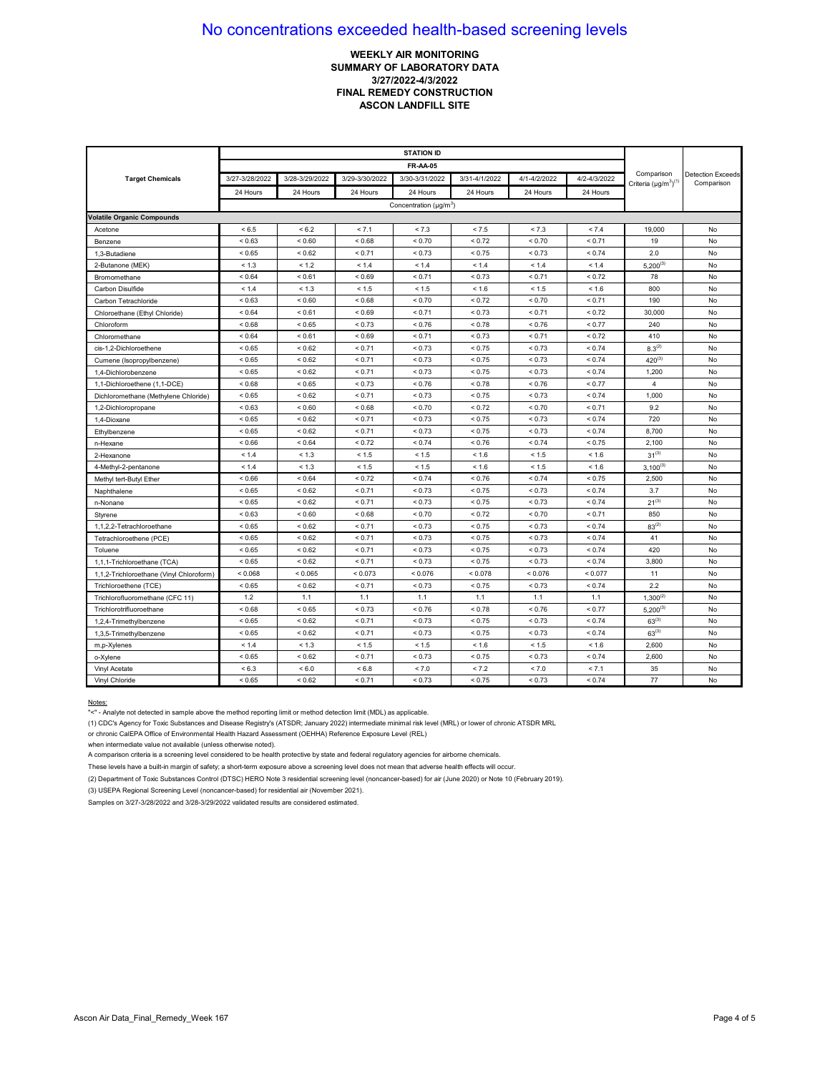## **WEEKLY AIR MONITORING SUMMARY OF LABORATORY DATA 3/27/2022-4/3/2022 FINAL REMEDY CONSTRUCTION ASCON LANDFILL SITE**

|                                          |                |                |                | <b>FR-AA-05</b>                    |               |              |              |                                            |                                        |
|------------------------------------------|----------------|----------------|----------------|------------------------------------|---------------|--------------|--------------|--------------------------------------------|----------------------------------------|
| <b>Target Chemicals</b>                  | 3/27-3/28/2022 | 3/28-3/29/2022 | 3/29-3/30/2022 | 3/30-3/31/2022                     | 3/31-4/1/2022 | 4/1-4/2/2022 | 4/2-4/3/2022 | Comparison<br>Criteria $(\mu g/m^3)^{(1)}$ | <b>Detection Exceeds</b><br>Comparison |
|                                          | 24 Hours       | 24 Hours       | 24 Hours       | 24 Hours                           | 24 Hours      | 24 Hours     | 24 Hours     |                                            |                                        |
|                                          |                |                |                | Concentration (µg/m <sup>3</sup> ) |               |              |              |                                            |                                        |
| <b>Volatile Organic Compounds</b>        |                |                |                |                                    |               |              |              |                                            |                                        |
| Acetone                                  | < 6.5          | ${}< 6.2$      | < 7.1          | < 7.3                              | < 7.5         | < 7.3        | < 7.4        | 19,000                                     | No                                     |
| Benzene                                  | ${}_{0.63}$    | ${}_{0.60}$    | < 0.68         | ${}_{0.70}$                        | < 0.72        | < 0.70       | < 0.71       | 19                                         | No                                     |
| 1,3-Butadiene                            | ${}_{<0.65}$   | ${}_{0.62}$    | < 0.71         | ${}_{0.73}$                        | ${}_{0.75}$   | < 0.73       | ${}_{0.74}$  | 2.0                                        | No                                     |
| 2-Butanone (MEK)                         | < 1.3          | < 1.2          | < 1.4          | < 1.4                              | < 1.4         | < 1.4        | < 1.4        | $5,200^{(3)}$                              | No                                     |
| Bromomethane                             | < 0.64         | < 0.61         | ${}_{0.69}$    | < 0.71                             | < 0.73        | < 0.71       | < 0.72       | 78                                         | No                                     |
| Carbon Disulfide                         | < 1.4          | < 1.3          | < 1.5          | < 1.5                              | < 1.6         | < 1.5        | < 1.6        | 800                                        | No                                     |
| Carbon Tetrachloride                     | < 0.63         | ${}_{0.60}$    | ${}_{<0.68}$   | < 0.70                             | < 0.72        | < 0.70       | < 0.71       | 190                                        | No                                     |
| Chloroethane (Ethyl Chloride)            | < 0.64         | < 0.61         | < 0.69         | < 0.71                             | < 0.73        | < 0.71       | < 0.72       | 30,000                                     | No                                     |
| Chloroform                               | < 0.68         | < 0.65         | < 0.73         | < 0.76                             | < 0.78        | < 0.76       | < 0.77       | 240                                        | No                                     |
| Chloromethane                            | ${}_{0.64}$    | ${}_{0.61}$    | ${}_{0.69}$    | < 0.71                             | ${}_{0.73}$   | < 0.71       | ${}_{0.72}$  | 410                                        | No                                     |
| cis-1.2-Dichloroethene                   | ${}< 0.65$     | ${}_{0.62}$    | < 0.71         | < 0.73                             | ${}_{0.75}$   | < 0.73       | ${}_{0.74}$  | $8.3^{(2)}$                                | No                                     |
| Cumene (Isopropylbenzene)                | ${}_{<0.65}$   | ${}< 0.62$     | < 0.71         | < 0.73                             | ${}_{0.75}$   | ${}_{0.73}$  | < 0.74       | $420^{(3)}$                                | No                                     |
| 1,4-Dichlorobenzene                      | < 0.65         | ${}< 0.62$     | < 0.71         | < 0.73                             | < 0.75        | < 0.73       | < 0.74       | 1,200                                      | No                                     |
| 1,1-Dichloroethene (1,1-DCE)             | ${}_{0.68}$    | ${}< 0.65$     | < 0.73         | < 0.76                             | < 0.78        | < 0.76       | < 0.77       | 4                                          | No                                     |
| Dichloromethane (Methylene Chloride)     | ${}_{<0.65}$   | ${}_{0.62}$    | < 0.71         | < 0.73                             | ${}_{0.75}$   | < 0.73       | < 0.74       | 1,000                                      | No                                     |
| 1,2-Dichloropropane                      | < 0.63         | ${}_{0.60}$    | ${}_{0.68}$    | < 0.70                             | < 0.72        | ${}_{0.70}$  | < 0.71       | 9.2                                        | No                                     |
| 1.4-Dioxane                              | < 0.65         | ${}_{0.62}$    | < 0.71         | < 0.73                             | ${}_{0.75}$   | < 0.73       | < 0.74       | 720                                        | No                                     |
| Ethylbenzene                             | ${}< 0.65$     | ${}< 0.62$     | < 0.71         | < 0.73                             | < 0.75        | < 0.73       | < 0.74       | 8,700                                      | No                                     |
| n-Hexane                                 | < 0.66         | < 0.64         | < 0.72         | < 0.74                             | < 0.76        | < 0.74       | < 0.75       | 2,100                                      | No                                     |
| 2-Hexanone                               | < 1.4          | < 1.3          | < 1.5          | < 1.5                              | < 1.6         | < 1.5        | < 1.6        | $31^{(3)}$                                 | No                                     |
| 4-Methyl-2-pentanone                     | < 1.4          | < 1.3          | < 1.5          | < 1.5                              | < 1.6         | < 1.5        | < 1.6        | $3,100^{(3)}$                              | No                                     |
| Methyl tert-Butyl Ether                  | ${}_{0.66}$    | ${}_{0.64}$    | < 0.72         | < 0.74                             | ${}_{0.76}$   | < 0.74       | ${}_{0.75}$  | 2,500                                      | No                                     |
| Naphthalene                              | < 0.65         | < 0.62         | < 0.71         | < 0.73                             | < 0.75        | < 0.73       | < 0.74       | 3.7                                        | No                                     |
| n-Nonane                                 | < 0.65         | < 0.62         | < 0.71         | < 0.73                             | < 0.75        | < 0.73       | < 0.74       | $21^{(3)}$                                 | No                                     |
| Styrene                                  | ${}_{0.63}$    | ${}_{0.60}$    | ${}_{0.68}$    | ${}_{0.70}$                        | < 0.72        | ${}_{0.70}$  | < 0.71       | 850                                        | No                                     |
| 1,1,2,2-Tetrachloroethane                | ${}_{<0.65}$   | ${}_{0.62}$    | < 0.71         | < 0.73                             | ${}_{0.75}$   | < 0.73       | < 0.74       | $83^{(2)}$                                 | No                                     |
| Tetrachloroethene (PCE)                  | < 0.65         | < 0.62         | < 0.71         | < 0.73                             | < 0.75        | < 0.73       | ${}_{0.74}$  | 41                                         | No                                     |
| Toluene                                  | < 0.65         | ${}< 0.62$     | < 0.71         | < 0.73                             | < 0.75        | < 0.73       | < 0.74       | 420                                        | No                                     |
| 1,1,1-Trichloroethane (TCA)              | < 0.65         | ${}_{5.62}$    | < 0.71         | < 0.73                             | < 0.75        | < 0.73       | < 0.74       | 3,800                                      | No                                     |
| 1,1,2-Trichloroethane (Vinyl Chloroform) | < 0.068        | < 0.065        | < 0.073        | < 0.076                            | < 0.078       | < 0.076      | < 0.077      | 11                                         | No                                     |
| Trichloroethene (TCE)                    | < 0.65         | < 0.62         | < 0.71         | < 0.73                             | < 0.75        | < 0.73       | ${}_{0.74}$  | 2.2                                        | No                                     |
| Trichlorofluoromethane (CFC 11)          | 1.2            | 1.1            | 1.1            | 1.1                                | 1.1           | 1.1          | 1.1          | $1,300^{(2)}$                              | No                                     |
| Trichlorotrifluoroethane                 | ${}_{0.68}$    | ${}_{<0.65}$   | ${}_{0.73}$    | < 0.76                             | ${}_{0.78}$   | ${}_{0.76}$  | < 0.77       | $5.200^{(3)}$                              | No                                     |
| 1,2,4-Trimethylbenzene                   | < 0.65         | ${}< 0.62$     | < 0.71         | < 0.73                             | < 0.75        | < 0.73       | < 0.74       | $63^{(3)}$                                 | No                                     |
| 1,3,5-Trimethylbenzene                   | < 0.65         | ${}< 0.62$     | < 0.71         | < 0.73                             | < 0.75        | < 0.73       | < 0.74       | $63^{(3)}$                                 | No                                     |
| m,p-Xylenes                              | < 1.4          | < 1.3          | < 1.5          | < 1.5                              | < 1.6         | < 1.5        | < 1.6        | 2,600                                      | No                                     |
| o-Xylene                                 | ${}_{0.65}$    | ${}_{0.62}$    | < 0.71         | < 0.73                             | ${}_{0.75}$   | < 0.73       | ${}_{0.74}$  | 2.600                                      | No                                     |
| Vinyl Acetate                            | < 6.3          | ${}_{6.0}$     | < 6.8          | < 7.0                              | < 7.2         | < 7.0        | < 7.1        | 35                                         | No                                     |
| Vinyl Chloride                           | < 0.65         | ${}_{0.62}$    | < 0.71         | < 0.73                             | < 0.75        | < 0.73       | < 0.74       | 77                                         | No                                     |

### Notes:

"<" - Analyte not detected in sample above the method reporting limit or method detection limit (MDL) as applicable.

(1) CDC's Agency for Toxic Substances and Disease Registry's (ATSDR; January 2022) intermediate minimal risk level (MRL) or lower of chronic ATSDR MRL

or chronic CalEPA Office of Environmental Health Hazard Assessment (OEHHA) Reference Exposure Level (REL)

when intermediate value not available (unless otherwise noted).

A comparison criteria is a screening level considered to be health protective by state and federal regulatory agencies for airborne chemicals.

These levels have a built-in margin of safety; a short-term exposure above a screening level does not mean that adverse health effects will occur.

(2) Department of Toxic Substances Control (DTSC) HERO Note 3 residential screening level (noncancer-based) for air (June 2020) or Note 10 (February 2019).

(3) USEPA Regional Screening Level (noncancer-based) for residential air (November 2021).

Samples on 3/27-3/28/2022 and 3/28-3/29/2022 validated results are considered estimated.